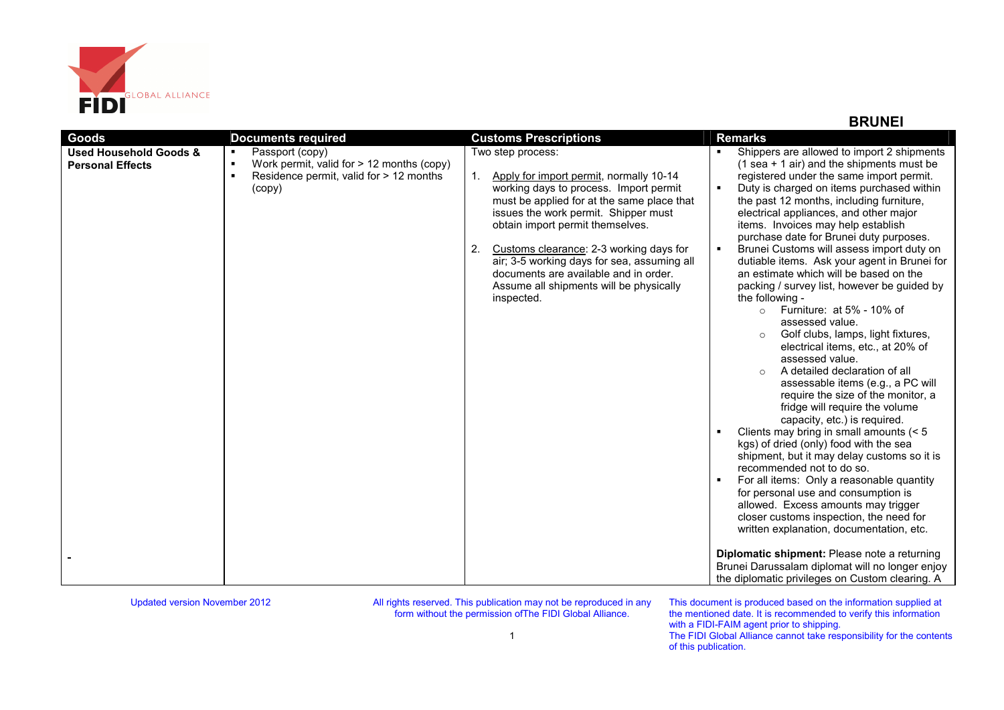

## **BRUNEI**

| Goods                                                        | <b>Documents required</b>                                                                                                                                                 | <b>Customs Prescriptions</b>                                                                                                                                                                                                                                                                                                                                                                                                       | <b>Remarks</b>                                                                                                                                                                                                                                                                                                                                                                                                                                                                                                                                                                                                                                                                                                                                                                                                                                                                                                                                                                                                                                                                                                                                                                                                                                                                                                                                                                                     |
|--------------------------------------------------------------|---------------------------------------------------------------------------------------------------------------------------------------------------------------------------|------------------------------------------------------------------------------------------------------------------------------------------------------------------------------------------------------------------------------------------------------------------------------------------------------------------------------------------------------------------------------------------------------------------------------------|----------------------------------------------------------------------------------------------------------------------------------------------------------------------------------------------------------------------------------------------------------------------------------------------------------------------------------------------------------------------------------------------------------------------------------------------------------------------------------------------------------------------------------------------------------------------------------------------------------------------------------------------------------------------------------------------------------------------------------------------------------------------------------------------------------------------------------------------------------------------------------------------------------------------------------------------------------------------------------------------------------------------------------------------------------------------------------------------------------------------------------------------------------------------------------------------------------------------------------------------------------------------------------------------------------------------------------------------------------------------------------------------------|
| <b>Used Household Goods &amp;</b><br><b>Personal Effects</b> | Passport (copy)<br>$\blacksquare$<br>$\blacksquare$<br>Work permit, valid for $> 12$ months (copy)<br>$\blacksquare$<br>Residence permit, valid for > 12 months<br>(copy) | Two step process:<br>Apply for import permit, normally 10-14<br>working days to process. Import permit<br>must be applied for at the same place that<br>issues the work permit. Shipper must<br>obtain import permit themselves.<br>Customs clearance: 2-3 working days for<br>2.<br>air; 3-5 working days for sea, assuming all<br>documents are available and in order.<br>Assume all shipments will be physically<br>inspected. | Shippers are allowed to import 2 shipments<br>$(1$ sea + 1 air) and the shipments must be<br>registered under the same import permit.<br>Duty is charged on items purchased within<br>the past 12 months, including furniture,<br>electrical appliances, and other major<br>items. Invoices may help establish<br>purchase date for Brunei duty purposes.<br>Brunei Customs will assess import duty on<br>dutiable items. Ask your agent in Brunei for<br>an estimate which will be based on the<br>packing / survey list, however be guided by<br>the following -<br>Furniture: at $5\%$ - 10% of<br>$\circ$<br>assessed value.<br>Golf clubs, lamps, light fixtures,<br>electrical items, etc., at 20% of<br>assessed value.<br>A detailed declaration of all<br>assessable items (e.g., a PC will<br>require the size of the monitor, a<br>fridge will require the volume<br>capacity, etc.) is required.<br>Clients may bring in small amounts (< 5<br>kgs) of dried (only) food with the sea<br>shipment, but it may delay customs so it is<br>recommended not to do so.<br>For all items: Only a reasonable quantity<br>for personal use and consumption is<br>allowed. Excess amounts may trigger<br>closer customs inspection, the need for<br>written explanation, documentation, etc.<br>Diplomatic shipment: Please note a returning<br>Brunei Darussalam diplomat will no longer enjoy |
|                                                              |                                                                                                                                                                           |                                                                                                                                                                                                                                                                                                                                                                                                                                    | the diplomatic privileges on Custom clearing. A                                                                                                                                                                                                                                                                                                                                                                                                                                                                                                                                                                                                                                                                                                                                                                                                                                                                                                                                                                                                                                                                                                                                                                                                                                                                                                                                                    |

Updated version November 2012

All rights reserved. This publication may not be reproduced in any form without the permission ofThe FIDI Global Alliance.

This document is produced based on the information supplied at the mentioned date. It is recommended to verify this information with a FIDI-FAIM agent prior to shipping. The FIDI Global Alliance cannot take responsibility for the contents of this publication.